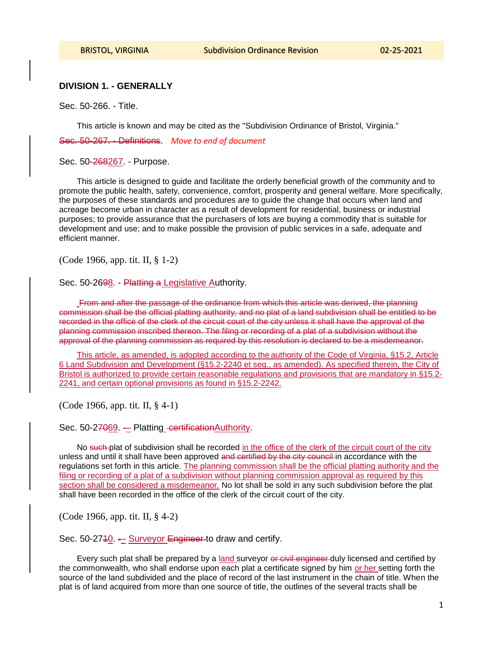# **DIVISION 1. - GENERALLY**

Sec. 50-266. - Title.

This article is known and may be cited as the "Subdivision Ordinance of Bristol, Virginia."

Sec. 50-267. - Definitions. *Move to end of document*

Sec. 50-268267. - Purpose.

This article is designed to guide and facilitate the orderly beneficial growth of the community and to promote the public health, safety, convenience, comfort, prosperity and general welfare. More specifically, the purposes of these standards and procedures are to guide the change that occurs when land and acreage become urban in character as a result of development for residential, business or industrial purposes; to provide assurance that the purchasers of lots are buying a commodity that is suitable for development and use; and to make possible the provision of public services in a safe, adequate and efficient manner.

(Code 1966, app. tit. II, § 1-2)

Sec. 50-2698. - Platting a Legislative Authority.

From and after the passage of the ordinance from which this article was derived, the planning commission shall be the official platting authority, and no plat of a land subdivision shall be entitled to be recorded in the office of the clerk of the circuit court of the city unless it shall have the approval of the planning commission inscribed thereon. The filing or recording of a plat of a subdivision without the approval of the planning commission as required by this resolution is declared to be a misdemeanor.

This article, as amended, is adopted according to the authority of the Code of Virginia, §15.2, Article 6 Land Subdivision and Development (§15.2-2240 et seq., as amended). As specified therein, the City of Bristol is authorized to provide certain reasonable regulations and provisions that are mandatory in §15.2- 2241, and certain optional provisions as found in §15.2-2242.

(Code 1966, app. tit. II, § 4-1)

Sec. 50-27069. -- Platting certificationAuthority.

No such plat of subdivision shall be recorded in the office of the clerk of the circuit court of the city unless and until it shall have been approved and certified by the city council in accordance with the regulations set forth in this article. The planning commission shall be the official platting authority and the filing or recording of a plat of a subdivision without planning commission approval as required by this section shall be considered a misdemeanor. No lot shall be sold in any such subdivision before the plat shall have been recorded in the office of the clerk of the circuit court of the city.

(Code 1966, app. tit. II, § 4-2)

Sec. 50-2740. - Surveyor Engineer to draw and certify.

Every such plat shall be prepared by a land surveyor or civil engineer duly licensed and certified by the commonwealth, who shall endorse upon each plat a certificate signed by him or her setting forth the source of the land subdivided and the place of record of the last instrument in the chain of title. When the plat is of land acquired from more than one source of title, the outlines of the several tracts shall be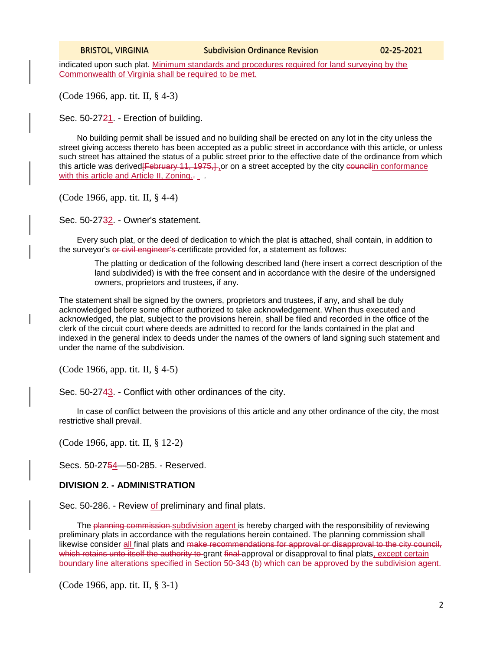indicated upon such plat. Minimum standards and procedures required for land surveying by the Commonwealth of Virginia shall be required to be met.

(Code 1966, app. tit. II, § 4-3)

Sec. 50-2721. - Erection of building.

No building permit shall be issued and no building shall be erected on any lot in the city unless the street giving access thereto has been accepted as a public street in accordance with this article, or unless such street has attained the status of a public street prior to the effective date of the ordinance from which this article was derived **[February 11, 1975, ]**, or on a street accepted by the city councilin conformance with this article and Article II, Zoning.. *.*

(Code 1966, app. tit. II, § 4-4)

Sec. 50-2732. - Owner's statement.

Every such plat, or the deed of dedication to which the plat is attached, shall contain, in addition to the surveyor's or civil engineer's certificate provided for, a statement as follows:

The platting or dedication of the following described land (here insert a correct description of the land subdivided) is with the free consent and in accordance with the desire of the undersigned owners, proprietors and trustees, if any.

The statement shall be signed by the owners, proprietors and trustees, if any, and shall be duly acknowledged before some officer authorized to take acknowledgement. When thus executed and acknowledged, the plat, subject to the provisions herein, shall be filed and recorded in the office of the clerk of the circuit court where deeds are admitted to record for the lands contained in the plat and indexed in the general index to deeds under the names of the owners of land signing such statement and under the name of the subdivision.

(Code 1966, app. tit. II, § 4-5)

Sec. 50-2743. - Conflict with other ordinances of the city.

In case of conflict between the provisions of this article and any other ordinance of the city, the most restrictive shall prevail.

(Code 1966, app. tit. II, § 12-2)

Secs. 50-2754-50-285. - Reserved.

## **DIVISION 2. - ADMINISTRATION**

Sec. 50-286. - Review of preliminary and final plats.

The planning commission subdivision agent is hereby charged with the responsibility of reviewing preliminary plats in accordance with the regulations herein contained. The planning commission shall likewise consider all final plats and <del>make recommendations for approval or disapproval to the city council,</del> which retains unto itself the authority to grant final approval or disapproval to final plats, except certain boundary line alterations specified in Section 50-343 (b) which can be approved by the subdivision agent.

(Code 1966, app. tit. II, § 3-1)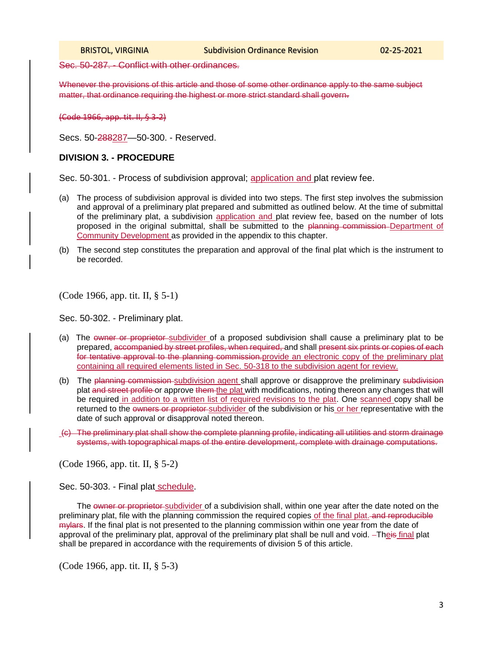Sec. 50-287. - Conflict with other ordinances.

Whenever the provisions of this article and those of some other ordinance apply to the same subject matter, that ordinance requiring the highest or more strict standard shall govern.

(Code 1966, app. tit. II, § 3-2)

Secs. 50-288287—50-300. - Reserved.

## **DIVISION 3. - PROCEDURE**

Sec. 50-301. - Process of subdivision approval; application and plat review fee.

- (a) The process of subdivision approval is divided into two steps. The first step involves the submission and approval of a preliminary plat prepared and submitted as outlined below. At the time of submittal of the preliminary plat, a subdivision application and plat review fee, based on the number of lots proposed in the original submittal, shall be submitted to the planning commission Department of Community Development as provided in the appendix to this chapter.
- (b) The second step constitutes the preparation and approval of the final plat which is the instrument to be recorded.

(Code 1966, app. tit. II, § 5-1)

Sec. 50-302. - Preliminary plat.

- (a) The owner or proprietor-subdivider of a proposed subdivision shall cause a preliminary plat to be prepared, accompanied by street profiles, when required, and shall present six prints or copies of each for tentative approval to the planning commission provide an electronic copy of the preliminary plat containing all required elements listed in Sec. 50-318 to the subdivision agent for review.
- (b) The planning commission subdivision agent shall approve or disapprove the preliminary subdivision plat and street profile or approve them the plat with modifications, noting thereon any changes that will be required in addition to a written list of required revisions to the plat. One scanned copy shall be returned to the owners or proprietor subdivider of the subdivision or his or her representative with the date of such approval or disapproval noted thereon.
- (c) The preliminary plat shall show the complete planning profile, indicating all utilities and storm drainage systems, with topographical maps of the entire development, complete with drainage computations.

(Code 1966, app. tit. II, § 5-2)

Sec. 50-303. - Final plat schedule.

The owner or proprietor subdivider of a subdivision shall, within one year after the date noted on the preliminary plat, file with the planning commission the required copies of the final plat. and reproducible mylars. If the final plat is not presented to the planning commission within one year from the date of approval of the preliminary plat, approval of the preliminary plat shall be null and void. -Theis final plat shall be prepared in accordance with the requirements of division 5 of this article.

(Code 1966, app. tit. II, § 5-3)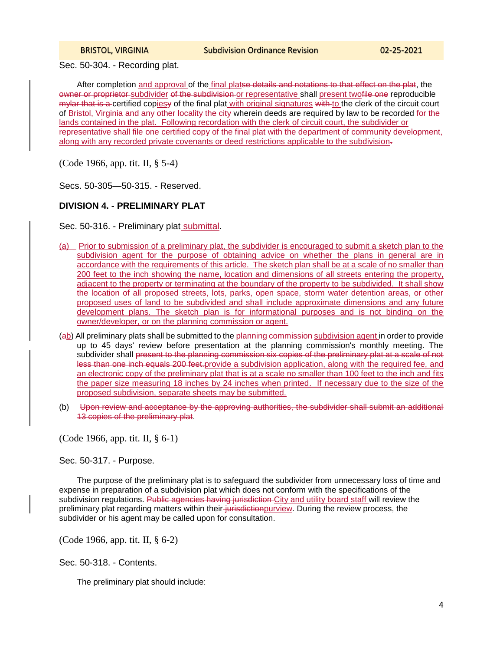Sec. 50-304. - Recording plat.

After completion and approval of the final platse details and notations to that effect on the plat, the owner or proprietor subdivider of the subdivision or representative shall present twofile one reproducible mylar that is a certified copiesy of the final plat with original signatures with to the clerk of the circuit court of Bristol, Virginia and any other locality the city wherein deeds are required by law to be recorded for the lands contained in the plat. Following recordation with the clerk of circuit court, the subdivider or representative shall file one certified copy of the final plat with the department of community development, along with any recorded private covenants or deed restrictions applicable to the subdivision.

(Code 1966, app. tit. II, § 5-4)

Secs. 50-305—50-315. - Reserved.

## **DIVISION 4. - PRELIMINARY PLAT**

Sec. 50-316. - Preliminary plat submittal.

- (a) Prior to submission of a preliminary plat, the subdivider is encouraged to submit a sketch plan to the subdivision agent for the purpose of obtaining advice on whether the plans in general are in accordance with the requirements of this article. The sketch plan shall be at a scale of no smaller than 200 feet to the inch showing the name, location and dimensions of all streets entering the property, adjacent to the property or terminating at the boundary of the property to be subdivided. It shall show the location of all proposed streets, lots, parks, open space, storm water detention areas, or other proposed uses of land to be subdivided and shall include approximate dimensions and any future development plans. The sketch plan is for informational purposes and is not binding on the owner/developer, or on the planning commission or agent.
- (ab) All preliminary plats shall be submitted to the planning commission subdivision agent in order to provide up to 45 days' review before presentation at the planning commission's monthly meeting. The subdivider shall present to the planning commission six copies of the preliminary plat at a scale of not less than one inch equals 200 feet.provide a subdivision application, along with the required fee, and an electronic copy of the preliminary plat that is at a scale no smaller than 100 feet to the inch and fits the paper size measuring 18 inches by 24 inches when printed. If necessary due to the size of the proposed subdivision, separate sheets may be submitted.
- (b) Upon review and acceptance by the approving authorities, the subdivider shall submit an additional 13 copies of the preliminary plat.

(Code 1966, app. tit. II, § 6-1)

Sec. 50-317. - Purpose.

The purpose of the preliminary plat is to safeguard the subdivider from unnecessary loss of time and expense in preparation of a subdivision plat which does not conform with the specifications of the subdivision regulations. Public agencies having jurisdiction City and utility board staff will review the preliminary plat regarding matters within their-jurisdiction purview. During the review process, the subdivider or his agent may be called upon for consultation.

(Code 1966, app. tit. II, § 6-2)

Sec. 50-318. - Contents.

The preliminary plat should include: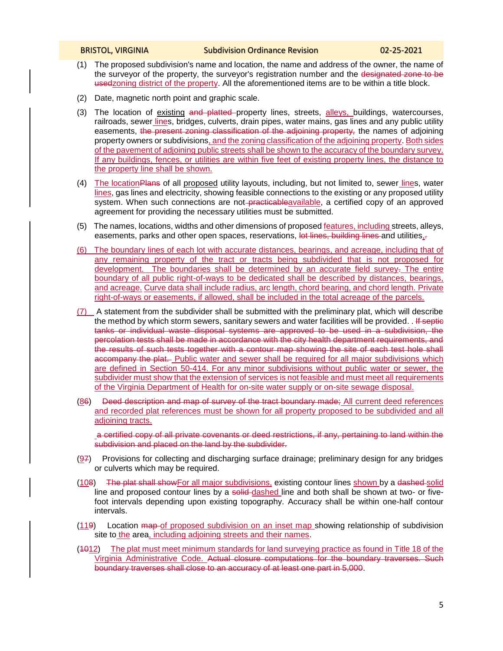- (1) The proposed subdivision's name and location, the name and address of the owner, the name of the surveyor of the property, the surveyor's registration number and the designated zone to be usedzoning district of the property. All the aforementioned items are to be within a title block.
- (2) Date, magnetic north point and graphic scale.
- (3) The location of existing and platted property lines, streets, alleys, buildings, watercourses, railroads, sewer lines, bridges, culverts, drain pipes, water mains, gas lines and any public utility easements, the present zoning classification of the adjoining property, the names of adjoining property owners or subdivisions, and the zoning classification of the adjoining property. Both sides of the pavement of adjoining public streets shall be shown to the accuracy of the boundary survey. If any buildings, fences, or utilities are within five feet of existing property lines, the distance to the property line shall be shown.
- (4) The locationPlans of all proposed utility layouts, including, but not limited to, sewer lines, water lines, gas lines and electricity, showing feasible connections to the existing or any proposed utility system. When such connections are not-practicableavailable, a certified copy of an approved agreement for providing the necessary utilities must be submitted.
- (5) The names, locations, widths and other dimensions of proposed features, including streets, alleys, easements, parks and other open spaces, reservations, lot lines, building lines and utilities,
- (6) The boundary lines of each lot with accurate distances, bearings, and acreage, including that of any remaining property of the tract or tracts being subdivided that is not proposed for development. The boundaries shall be determined by an accurate field survey. The entire boundary of all public right-of-ways to be dedicated shall be described by distances, bearings, and acreage. Curve data shall include radius, arc length, chord bearing, and chord length. Private right-of-ways or easements, if allowed, shall be included in the total acreage of the parcels.
- (7) A statement from the subdivider shall be submitted with the preliminary plat, which will describe the method by which storm sewers, sanitary sewers and water facilities will be provided. . If septie tanks or individual waste disposal systems are approved to be used in a subdivision, the percolation tests shall be made in accordance with the city health department requirements, and the results of such tests together with a contour map showing the site of each test hole shall accompany the plat. Public water and sewer shall be required for all major subdivisions which are defined in Section 50-414. For any minor subdivisions without public water or sewer, the subdivider must show that the extension of services is not feasible and must meet all requirements of the Virginia Department of Health for on-site water supply or on-site sewage disposal.
- (86) Deed description and map of survey of the tract boundary made; All current deed references and recorded plat references must be shown for all property proposed to be subdivided and all adjoining tracts.

a certified copy of all private covenants or deed restrictions, if any, pertaining to land within the subdivision and placed on the land by the subdivider.

- (97) Provisions for collecting and discharging surface drainage; preliminary design for any bridges or culverts which may be required.
- (108) The plat shall showFor all major subdivisions, existing contour lines shown by a dashed-solid line and proposed contour lines by a solid-dashed line and both shall be shown at two- or fivefoot intervals depending upon existing topography. Accuracy shall be within one-half contour intervals.
- (119) Location map of proposed subdivision on an inset map showing relationship of subdivision site to the area, including adjoining streets and their names.
- (1012) The plat must meet minimum standards for land surveying practice as found in Title 18 of the Virginia Administrative Code. Actual closure computations for the boundary traverses. Such boundary traverses shall close to an accuracy of at least one part in 5,000.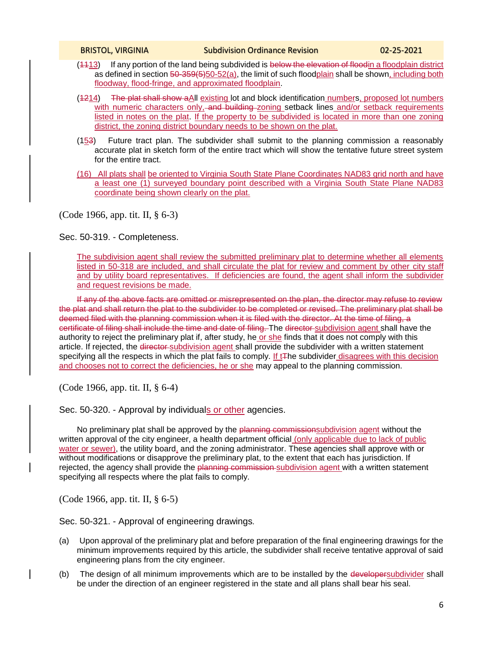- (4413) If any portion of the land being subdivided is below the elevation of floodin a floodplain district as defined in section 50-359(5)50-52(a), the limit of such floodplain shall be shown, including both floodway, flood-fringe, and approximated floodplain.
- (1214) The plat shall show aAll existing lot and block identification numbers, proposed lot numbers with numeric characters only, and building zoning setback lines and/or setback requirements listed in notes on the plat. If the property to be subdivided is located in more than one zoning district, the zoning district boundary needs to be shown on the plat.
- (153) Future tract plan. The subdivider shall submit to the planning commission a reasonably accurate plat in sketch form of the entire tract which will show the tentative future street system for the entire tract.
- (16) All plats shall be oriented to Virginia South State Plane Coordinates NAD83 grid north and have a least one (1) surveyed boundary point described with a Virginia South State Plane NAD83 coordinate being shown clearly on the plat.

(Code 1966, app. tit. II, § 6-3)

Sec. 50-319. - Completeness.

The subdivision agent shall review the submitted preliminary plat to determine whether all elements listed in 50-318 are included, and shall circulate the plat for review and comment by other city staff and by utility board representatives. If deficiencies are found, the agent shall inform the subdivider and request revisions be made.

If any of the above facts are omitted or misrepresented on the plan, the director may refuse to review the plat and shall return the plat to the subdivider to be completed or revised. The preliminary plat shall be deemed filed with the planning commission when it is filed with the director. At the time of filing, a certificate of filing shall include the time and date of filing. The director subdivision agent shall have the authority to reject the preliminary plat if, after study, he or she finds that it does not comply with this article. If rejected, the director-subdivision agent shall provide the subdivider with a written statement specifying all the respects in which the plat fails to comply. If t<sub>The subdivider</sub> disagrees with this decision and chooses not to correct the deficiencies, he or she may appeal to the planning commission.

(Code 1966, app. tit. II, § 6-4)

Sec. 50-320. - Approval by individuals or other agencies.

No preliminary plat shall be approved by the planning commissionsubdivision agent without the written approval of the city engineer, a health department official (only applicable due to lack of public water or sewer), the utility board, and the zoning administrator. These agencies shall approve with or without modifications or disapprove the preliminary plat, to the extent that each has jurisdiction. If rejected, the agency shall provide the planning commission subdivision agent with a written statement specifying all respects where the plat fails to comply.

(Code 1966, app. tit. II, § 6-5)

Sec. 50-321. - Approval of engineering drawings*.*

- (a) Upon approval of the preliminary plat and before preparation of the final engineering drawings for the minimum improvements required by this article, the subdivider shall receive tentative approval of said engineering plans from the city engineer.
- (b) The design of all minimum improvements which are to be installed by the developersubdivider shall be under the direction of an engineer registered in the state and all plans shall bear his seal.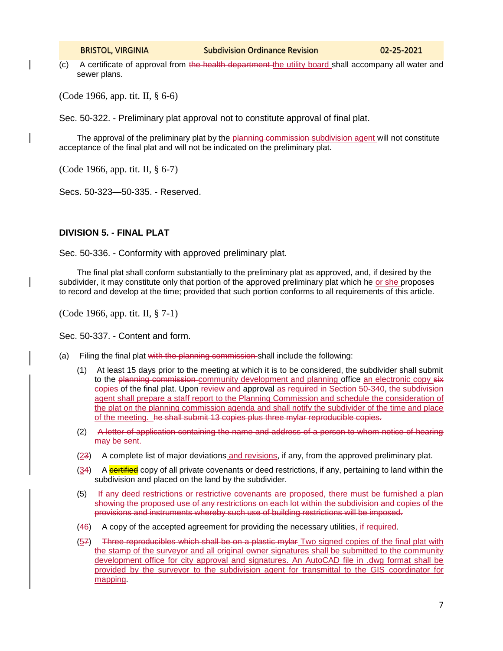(c) A certificate of approval from the health department the utility board shall accompany all water and sewer plans.

(Code 1966, app. tit. II, § 6-6)

Sec. 50-322. - Preliminary plat approval not to constitute approval of final plat.

The approval of the preliminary plat by the planning commission subdivision agent will not constitute acceptance of the final plat and will not be indicated on the preliminary plat.

(Code 1966, app. tit. II, § 6-7)

Secs. 50-323—50-335. - Reserved.

## **DIVISION 5. - FINAL PLAT**

Sec. 50-336. - Conformity with approved preliminary plat.

The final plat shall conform substantially to the preliminary plat as approved, and, if desired by the subdivider, it may constitute only that portion of the approved preliminary plat which he or she proposes to record and develop at the time; provided that such portion conforms to all requirements of this article.

(Code 1966, app. tit. II, § 7-1)

Sec. 50-337. - Content and form.

(a) Filing the final plat with the planning commission shall include the following:

- (1) At least 15 days prior to the meeting at which it is to be considered, the subdivider shall submit to the planning commission community development and planning office an electronic copy six copies of the final plat. Upon review and approval as required in Section 50-340, the subdivision agent shall prepare a staff report to the Planning Commission and schedule the consideration of the plat on the planning commission agenda and shall notify the subdivider of the time and place of the meeting. he shall submit 13 copies plus three mylar reproducible copies.
- (2) A letter of application containing the name and address of a person to whom notice of hearing may be sent.
- (23) A complete list of major deviations and revisions, if any, from the approved preliminary plat.
- (34) A certified copy of all private covenants or deed restrictions, if any, pertaining to land within the subdivision and placed on the land by the subdivider.
- (5) If any deed restrictions or restrictive covenants are proposed, there must be furnished a plan showing the proposed use of any restrictions on each lot within the subdivision and copies of the provisions and instruments whereby such use of building restrictions will be imposed.
- (46) A copy of the accepted agreement for providing the necessary utilities, if required.
- (57) Three reproducibles which shall be on a plastic mylar Two signed copies of the final plat with the stamp of the surveyor and all original owner signatures shall be submitted to the community development office for city approval and signatures. An AutoCAD file in .dwg format shall be provided by the surveyor to the subdivision agent for transmittal to the GIS coordinator for mapping.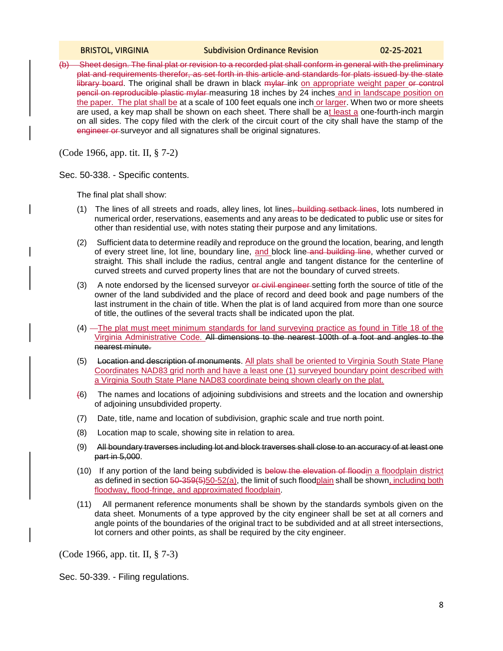(b) Sheet design. The final plat or revision to a recorded plat shall conform in general with the preliminary plat and requirements therefor, as set forth in this article and standards for plats issued by the state library board. The original shall be drawn in black mylar-ink on appropriate weight paper or control pencil on reproducible plastic mylar measuring 18 inches by 24 inches and in landscape position on the paper. The plat shall be at a scale of 100 feet equals one inch or larger. When two or more sheets are used, a key map shall be shown on each sheet. There shall be at least a one-fourth-inch margin on all sides. The copy filed with the clerk of the circuit court of the city shall have the stamp of the engineer or surveyor and all signatures shall be original signatures.

(Code 1966, app. tit. II, § 7-2)

Sec. 50-338. - Specific contents.

The final plat shall show:

- (1) The lines of all streets and roads, alley lines, lot lines, building setback lines, lots numbered in numerical order, reservations, easements and any areas to be dedicated to public use or sites for other than residential use, with notes stating their purpose and any limitations.
- (2) Sufficient data to determine readily and reproduce on the ground the location, bearing, and length of every street line, lot line, boundary line, and block line and building line, whether curved or straight. This shall include the radius, central angle and tangent distance for the centerline of curved streets and curved property lines that are not the boundary of curved streets.
- (3) A note endorsed by the licensed surveyor or civil engineer-setting forth the source of title of the owner of the land subdivided and the place of record and deed book and page numbers of the last instrument in the chain of title. When the plat is of land acquired from more than one source of title, the outlines of the several tracts shall be indicated upon the plat.
- (4) —The plat must meet minimum standards for land surveying practice as found in Title 18 of the Virginia Administrative Code. All dimensions to the nearest 100th of a foot and angles to the nearest minute.
- (5) Location and description of monuments. All plats shall be oriented to Virginia South State Plane Coordinates NAD83 grid north and have a least one (1) surveyed boundary point described with a Virginia South State Plane NAD83 coordinate being shown clearly on the plat.
- (6) The names and locations of adjoining subdivisions and streets and the location and ownership of adjoining unsubdivided property.
- (7) Date, title, name and location of subdivision, graphic scale and true north point.
- (8) Location map to scale, showing site in relation to area.
- (9) All boundary traverses including lot and block traverses shall close to an accuracy of at least one part in 5,000.
- (10) If any portion of the land being subdivided is below the elevation of floodin a floodplain district as defined in section 50-359(5)50-52(a), the limit of such floodplain shall be shown, including both floodway, flood-fringe, and approximated floodplain.
- (11) All permanent reference monuments shall be shown by the standards symbols given on the data sheet. Monuments of a type approved by the city engineer shall be set at all corners and angle points of the boundaries of the original tract to be subdivided and at all street intersections, lot corners and other points, as shall be required by the city engineer.

(Code 1966, app. tit. II, § 7-3)

Sec. 50-339. - Filing regulations.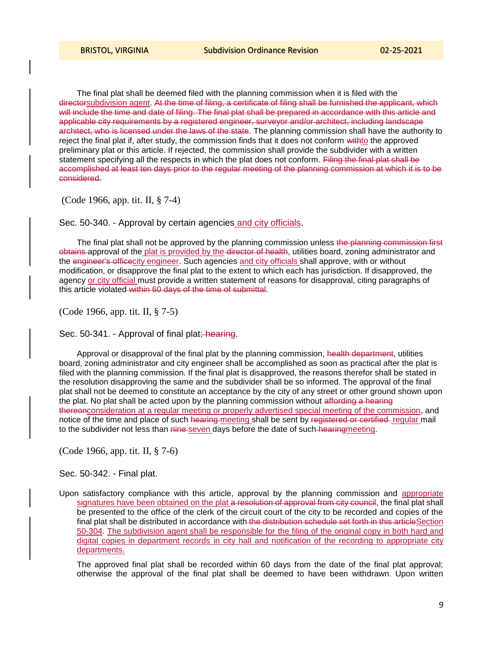The final plat shall be deemed filed with the planning commission when it is filed with the directorsubdivision agent. At the time of filing, a certificate of filing shall be furnished the applicant, which will include the time and date of filing. The final plat shall be prepared in accordance with this article and applicable city requirements by a registered engineer, surveyor and/or architect, including landscape architect, who is licensed under the laws of the state. The planning commission shall have the authority to reject the final plat if, after study, the commission finds that it does not conform withto the approved preliminary plat or this article. If rejected, the commission shall provide the subdivider with a written statement specifying all the respects in which the plat does not conform. Filing the final plat shall be accomplished at least ten days prior to the regular meeting of the planning commission at which it is to be considered.

(Code 1966, app. tit. II, § 7-4)

Sec. 50-340. - Approval by certain agencies and city officials.

The final plat shall not be approved by the planning commission unless the planning commission first obtains approval of the plat is provided by the director of health, utilities board, zoning administrator and the engineer's officecity engineer. Such agencies and city officials shall approve, with or without modification, or disapprove the final plat to the extent to which each has jurisdiction. If disapproved, the agency or city official must provide a written statement of reasons for disapproval, citing paragraphs of this article violated within 60 days of the time of submittal.

(Code 1966, app. tit. II, § 7-5)

Sec. 50-341. - Approval of final plat; hearing.

Approval or disapproval of the final plat by the planning commission, health department, utilities board, zoning administrator and city engineer shall be accomplished as soon as practical after the plat is filed with the planning commission. If the final plat is disapproved, the reasons therefor shall be stated in the resolution disapproving the same and the subdivider shall be so informed. The approval of the final plat shall not be deemed to constitute an acceptance by the city of any street or other ground shown upon the plat. No plat shall be acted upon by the planning commission without affording a hearing thereonconsideration at a regular meeting or properly advertised special meeting of the commission, and notice of the time and place of such hearing-meeting shall be sent by registered or certified regular mail to the subdivider not less than nine seven days before the date of such hearingmeeting.

(Code 1966, app. tit. II, § 7-6)

Sec. 50-342. - Final plat.

Upon satisfactory compliance with this article, approval by the planning commission and appropriate signatures have been obtained on the plat a resolution of approval from city council, the final plat shall be presented to the office of the clerk of the circuit court of the city to be recorded and copies of the final plat shall be distributed in accordance with the distribution schedule set forth in this articleSection 50-304. The subdivision agent shall be responsible for the filing of the original copy in both hard and digital copies in department records in city hall and notification of the recording to appropriate city departments.

The approved final plat shall be recorded within 60 days from the date of the final plat approval; otherwise the approval of the final plat shall be deemed to have been withdrawn. Upon written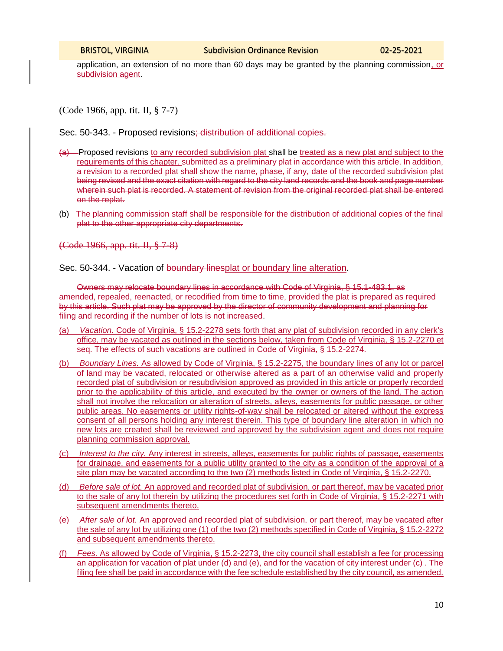application, an extension of no more than 60 days may be granted by the planning commission, or subdivision agent.

(Code 1966, app. tit. II, § 7-7)

Sec. 50-343. - Proposed revisions: distribution of additional copies.

- (a) Proposed revisions to any recorded subdivision plat shall be treated as a new plat and subject to the requirements of this chapter. submitted as a preliminary plat in accordance with this article. In addition, a revision to a recorded plat shall show the name, phase, if any, date of the recorded subdivision plat being revised and the exact citation with regard to the city land records and the book and page number wherein such plat is recorded. A statement of revision from the original recorded plat shall be entered on the replat.
- (b) The planning commission staff shall be responsible for the distribution of additional copies of the final plat to the other appropriate city departments.

(Code 1966, app. tit. II, § 7-8)

Sec. 50-344. - Vacation of boundary linesplat or boundary line alteration.

Owners may relocate boundary lines in accordance with Code of Virginia, § 15.1-483.1, as amended, repealed, reenacted, or recodified from time to time, provided the plat is prepared as required by this article. Such plat may be approved by the director of community development and planning for filing and recording if the number of lots is not increased.

- (a) *Vacation.* Code of Virginia, § 15.2-2278 sets forth that any plat of subdivision recorded in any clerk's office, may be vacated as outlined in the sections below, taken from Code of Virginia, § 15.2-2270 et seq. The effects of such vacations are outlined in Code of Virginia, § 15.2-2274.
- (b) *Boundary Lines.* As allowed by Code of Virginia, § 15.2-2275, the boundary lines of any lot or parcel of land may be vacated, relocated or otherwise altered as a part of an otherwise valid and properly recorded plat of subdivision or resubdivision approved as provided in this article or properly recorded prior to the applicability of this article, and executed by the owner or owners of the land. The action shall not involve the relocation or alteration of streets, alleys, easements for public passage, or other public areas. No easements or utility rights-of-way shall be relocated or altered without the express consent of all persons holding any interest therein. This type of boundary line alteration in which no new lots are created shall be reviewed and approved by the subdivision agent and does not require planning commission approval.
- (c) *Interest to the city.* Any interest in streets, alleys, easements for public rights of passage, easements for drainage, and easements for a public utility granted to the city as a condition of the approval of a site plan may be vacated according to the two (2) methods listed in Code of Virginia, § 15.2-2270.
- (d) *Before sale of lot.* An approved and recorded plat of subdivision, or part thereof, may be vacated prior to the sale of any lot therein by utilizing the procedures set forth in Code of Virginia, § 15.2-2271 with subsequent amendments thereto.
- (e) *After sale of lot.* An approved and recorded plat of subdivision, or part thereof, may be vacated after the sale of any lot by utilizing one (1) of the two (2) methods specified in Code of Virginia, § 15.2-2272 and subsequent amendments thereto.
- (f) *Fees.* As allowed by Code of Virginia, § 15.2-2273, the city council shall establish a fee for processing an application for vacation of plat under (d) and (e), and for the vacation of city interest under (c) . The filing fee shall be paid in accordance with the fee schedule established by the city council, as amended.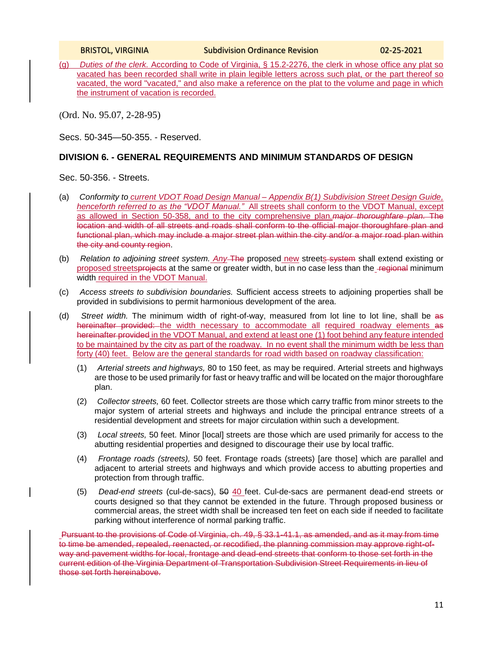(g) *Duties of the clerk.* According to Code of Virginia, § 15.2-2276, the clerk in whose office any plat so vacated has been recorded shall write in plain legible letters across such plat, or the part thereof so vacated, the word "vacated," and also make a reference on the plat to the volume and page in which the instrument of vacation is recorded.

(Ord. No. 95.07, 2-28-95)

Secs. 50-345—50-355. - Reserved.

## **DIVISION 6. - GENERAL REQUIREMENTS AND MINIMUM STANDARDS OF DESIGN**

Sec. 50-356. - Streets.

- (a) *Conformity to current VDOT Road Design Manual – Appendix B(1) Subdivision Street Design Guide, henceforth referred to as the "VDOT Manual."* All streets shall conform to the VDOT Manual, except as allowed in Section 50-358, and to the city comprehensive plan*.major thoroughfare plan.* The location and width of all streets and roads shall conform to the official major thoroughfare plan and functional plan, which may include a major street plan within the city and/or a major road plan within the city and county region.
- (b) *Relation to adjoining street system. Any* The proposed new streets system shall extend existing or proposed streetsprojects at the same or greater width, but in no case less than the regional minimum width required in the VDOT Manual.
- (c) *Access streets to subdivision boundaries.* Sufficient access streets to adjoining properties shall be provided in subdivisions to permit harmonious development of the area.
- (d) *Street width.* The minimum width of right-of-way, measured from lot line to lot line, shall be as hereinafter provided: the width necessary to accommodate all required roadway elements as hereinafter provided in the VDOT Manual, and extend at least one (1) foot behind any feature intended to be maintained by the city as part of the roadway. In no event shall the minimum width be less than forty (40) feet. Below are the general standards for road width based on roadway classification:
	- (1) *Arterial streets and highways,* 80 to 150 feet, as may be required. Arterial streets and highways are those to be used primarily for fast or heavy traffic and will be located on the major thoroughfare plan.
	- (2) *Collector streets,* 60 feet. Collector streets are those which carry traffic from minor streets to the major system of arterial streets and highways and include the principal entrance streets of a residential development and streets for major circulation within such a development.
	- (3) *Local streets,* 50 feet. Minor [local] streets are those which are used primarily for access to the abutting residential properties and designed to discourage their use by local traffic.
	- (4) *Frontage roads (streets),* 50 feet. Frontage roads (streets) [are those] which are parallel and adjacent to arterial streets and highways and which provide access to abutting properties and protection from through traffic.
	- (5) *Dead-end streets* (cul-de-sacs), 50 40 feet. Cul-de-sacs are permanent dead-end streets or courts designed so that they cannot be extended in the future. Through proposed business or commercial areas, the street width shall be increased ten feet on each side if needed to facilitate parking without interference of normal parking traffic.

Pursuant to the provisions of Code of Virginia, ch. 49, § 33.1-41.1, as amended, and as it may from time to time be amended, repealed, reenacted, or recodified, the planning commission may approve right-ofway and pavement widths for local, frontage and dead-end streets that conform to those set forth in the current edition of the Virginia Department of Transportation Subdivision Street Requirements in lieu of those set forth hereinabove.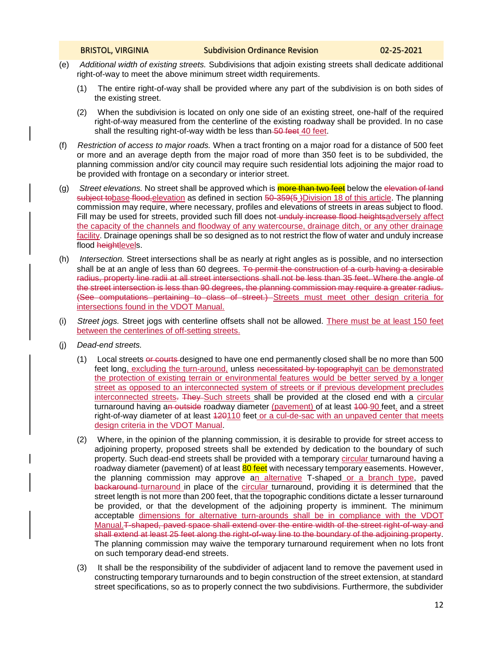- (e) *Additional width of existing streets.* Subdivisions that adjoin existing streets shall dedicate additional right-of-way to meet the above minimum street width requirements.
	- (1) The entire right-of-way shall be provided where any part of the subdivision is on both sides of the existing street.
	- (2) When the subdivision is located on only one side of an existing street, one-half of the required right-of-way measured from the centerline of the existing roadway shall be provided. In no case shall the resulting right-of-way width be less than 50 feet 40 feet.
- (f) *Restriction of access to major roads.* When a tract fronting on a major road for a distance of 500 feet or more and an average depth from the major road of more than 350 feet is to be subdivided, the planning commission and/or city council may require such residential lots adjoining the major road to be provided with frontage on a secondary or interior street.
- (g) *Street elevations.* No street shall be approved which is **more than two feet** below the elevation of land subject tobase flood-elevation as defined in section 50-359(5) Division 18 of this article. The planning commission may require, where necessary, profiles and elevations of streets in areas subject to flood. Fill may be used for streets, provided such fill does not-unduly increase flood heightsadversely affect the capacity of the channels and floodway of any watercourse, drainage ditch, or any other drainage facility. Drainage openings shall be so designed as to not restrict the flow of water and unduly increase flood heightlevels.
- (h) *Intersection.* Street intersections shall be as nearly at right angles as is possible, and no intersection shall be at an angle of less than 60 degrees. To permit the construction of a curb having a desirable radius, property line radii at all street intersections shall not be less than 35 feet. Where the angle of the street intersection is less than 90 degrees, the planning commission may require a greater radius. (See computations pertaining to class of street.) Streets must meet other design criteria for intersections found in the VDOT Manual.
- (i) *Street jogs.* Street jogs with centerline offsets shall not be allowed. There must be at least 150 feet between the centerlines of off-setting streets.
- (j) *Dead-end streets.*
	- (1) Local streets or courts designed to have one end permanently closed shall be no more than 500 feet long, excluding the turn-around, unless necessitated by topographyit can be demonstrated the protection of existing terrain or environmental features would be better served by a longer street as opposed to an interconnected system of streets or if previous development precludes interconnected streets. They Such streets shall be provided at the closed end with a circular turnaround having an outside roadway diameter (pavement) of at least 100-90 feet. and a street right-of-way diameter of at least  $420110$  feet or a cul-de-sac with an unpaved center that meets design criteria in the VDOT Manual.
	- (2) Where, in the opinion of the planning commission, it is desirable to provide for street access to adjoining property, proposed streets shall be extended by dedication to the boundary of such property. Such dead-end streets shall be provided with a temporary circular turnaround having a roadway diameter (pavement) of at least 80 feet with necessary temporary easements. However, the planning commission may approve an alternative T-shaped or a branch type, paved backaround turnaround in place of the circular turnaround, providing it is determined that the street length is not more than 200 feet, that the topographic conditions dictate a lesser turnaround be provided, or that the development of the adjoining property is imminent. The minimum acceptable dimensions for alternative turn-arounds shall be in compliance with the VDOT Manual.T-shaped, paved space shall extend over the entire width of the street right-of-way and shall extend at least 25 feet along the right-of-way line to the boundary of the adjoining property. The planning commission may waive the temporary turnaround requirement when no lots front on such temporary dead-end streets.
	- (3) It shall be the responsibility of the subdivider of adjacent land to remove the pavement used in constructing temporary turnarounds and to begin construction of the street extension, at standard street specifications, so as to properly connect the two subdivisions. Furthermore, the subdivider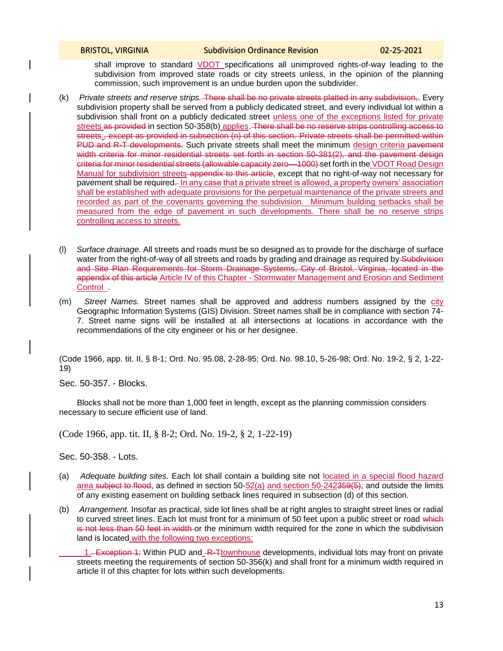shall improve to standard VDOT specifications all unimproved rights-of-way leading to the subdivision from improved state roads or city streets unless, in the opinion of the planning commission, such improvement is an undue burden upon the subdivider.

- (k) *Private streets and reserve strips.* There shall be no private streets platted in any subdivision,. Every subdivision property shall be served from a publicly dedicated street, and every individual lot within a subdivision shall front on a publicly dedicated street unless one of the exceptions listed for private streets as provided in section 50-358(b) applies. There shall be no reserve strips controlling access to streets., except as provided in subsection (n) of this section. Private streets shall be permitted within PUD and R-T developments. Such private streets shall meet the minimum design criteria pavement width criteria for minor residential streets set forth in section 50-381(2), and the pavement design criteria for minor residential streets (allowable capacity zero-1000) set forth in the VDOT Road Design Manual for subdivision streets appendix to this article, except that no right-of-way not necessary for pavement shall be required. In any case that a private street is allowed, a property owners' association shall be established with adequate provisions for the perpetual maintenance of the private streets and recorded as part of the covenants governing the subdivision. Minimum building setbacks shall be measured from the edge of pavement in such developments. There shall be no reserve strips controlling access to streets.
- (l) *Surface drainage.* All streets and roads must be so designed as to provide for the discharge of surface water from the right-of-way of all streets and roads by grading and drainage as required by-Subdivision and Site Plan Requirements for Storm Drainage Systems, City of Bristol, Virginia, located in the appendix of this article Article IV of this Chapter - Stormwater Management and Erosion and Sediment Control .
- (m) *Street Names.* Street names shall be approved and address numbers assigned by the city Geographic Information Systems (GIS) Division. Street names shall be in compliance with section 74- 7. Street name signs will be installed at all intersections at locations in accordance with the recommendations of the city engineer or his or her designee.

(Code 1966, app. tit. II, § 8-1; Ord. No. 95.08, 2-28-95; Ord. No. 98.10, 5-26-98; Ord. No. 19-2, § 2, 1-22- 19)

Sec. 50-357. - Blocks.

Blocks shall not be more than 1,000 feet in length, except as the planning commission considers necessary to secure efficient use of land.

(Code 1966, app. tit. II, § 8-2; Ord. No. 19-2, § 2, 1-22-19)

Sec. 50-358. - Lots.

- (a) *Adequate building sites.* Each lot shall contain a building site not located in a special flood hazard area subject to flood, as defined in section 50-52(a) and section 50-242359(5), and outside the limits of any existing easement on building setback lines required in subsection (d) of this section.
- (b) *Arrangement.* Insofar as practical, side lot lines shall be at right angles to straight street lines or radial to curved street lines. Each lot must front for a minimum of 50 feet upon a public street or road which is not less than 50 feet in width or the minimum width required for the zone in which the subdivision land is located with the following two exceptions:

1. Exception 1: Within PUD and R-Ttownhouse developments, individual lots may front on private streets meeting the requirements of section 50-356(k) and shall front for a minimum width required in article II of this chapter for lots within such developments.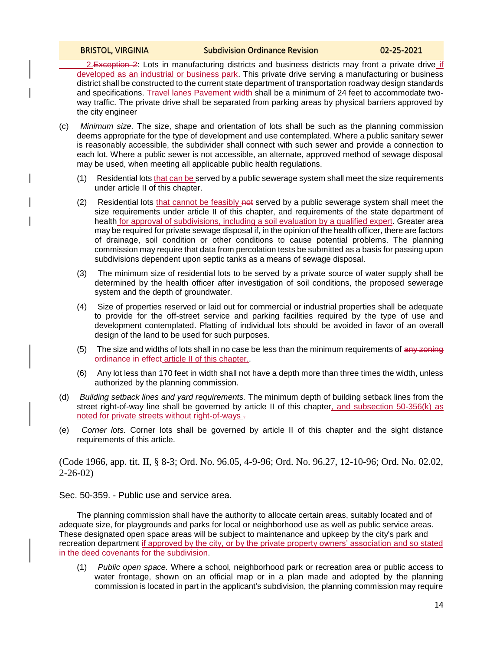### BRISTOL, VIRGINIA Subdivision Ordinance Revision 02-25-2021

2. Exception 2: Lots in manufacturing districts and business districts may front a private drive if developed as an industrial or business park. This private drive serving a manufacturing or business district shall be constructed to the current state department of transportation roadway design standards and specifications. Travel lanes Pavement width shall be a minimum of 24 feet to accommodate twoway traffic. The private drive shall be separated from parking areas by physical barriers approved by the city engineer

- (c) *Minimum size.* The size, shape and orientation of lots shall be such as the planning commission deems appropriate for the type of development and use contemplated. Where a public sanitary sewer is reasonably accessible, the subdivider shall connect with such sewer and provide a connection to each lot. Where a public sewer is not accessible, an alternate, approved method of sewage disposal may be used, when meeting all applicable public health regulations.
	- (1) Residential lots that can be served by a public sewerage system shall meet the size requirements under article II of this chapter.
	- (2) Residential lots that cannot be feasibly not served by a public sewerage system shall meet the size requirements under article II of this chapter, and requirements of the state department of health for approval of subdivisions, including a soil evaluation by a qualified expert. Greater area may be required for private sewage disposal if, in the opinion of the health officer, there are factors of drainage, soil condition or other conditions to cause potential problems. The planning commission may require that data from percolation tests be submitted as a basis for passing upon subdivisions dependent upon septic tanks as a means of sewage disposal.
	- (3) The minimum size of residential lots to be served by a private source of water supply shall be determined by the health officer after investigation of soil conditions, the proposed sewerage system and the depth of groundwater.
	- (4) Size of properties reserved or laid out for commercial or industrial properties shall be adequate to provide for the off-street service and parking facilities required by the type of use and development contemplated. Platting of individual lots should be avoided in favor of an overall design of the land to be used for such purposes.
	- (5) The size and widths of lots shall in no case be less than the minimum requirements of any zoning ordinance in effect article II of this chapter..
	- (6) Any lot less than 170 feet in width shall not have a depth more than three times the width, unless authorized by the planning commission.
- (d) *Building setback lines and yard requirements.* The minimum depth of building setback lines from the street right-of-way line shall be governed by article II of this chapter, and subsection 50-356(k) as noted for private streets without right-of-ways -
- (e) *Corner lots.* Corner lots shall be governed by article II of this chapter and the sight distance requirements of this article.

(Code 1966, app. tit. II, § 8-3; Ord. No. 96.05, 4-9-96; Ord. No. 96.27, 12-10-96; Ord. No. 02.02, 2-26-02)

Sec. 50-359. - Public use and service area.

The planning commission shall have the authority to allocate certain areas, suitably located and of adequate size, for playgrounds and parks for local or neighborhood use as well as public service areas. These designated open space areas will be subject to maintenance and upkeep by the city's park and recreation department if approved by the city, or by the private property owners' association and so stated in the deed covenants for the subdivision.

(1) *Public open space.* Where a school, neighborhood park or recreation area or public access to water frontage, shown on an official map or in a plan made and adopted by the planning commission is located in part in the applicant's subdivision, the planning commission may require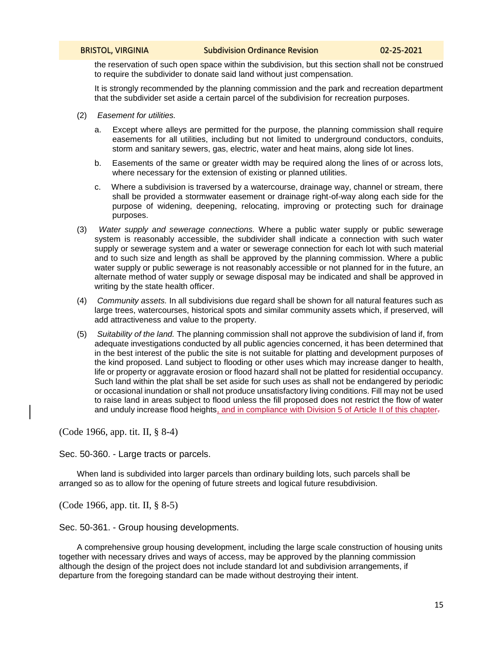the reservation of such open space within the subdivision, but this section shall not be construed to require the subdivider to donate said land without just compensation.

It is strongly recommended by the planning commission and the park and recreation department that the subdivider set aside a certain parcel of the subdivision for recreation purposes.

- (2) *Easement for utilities.*
	- a. Except where alleys are permitted for the purpose, the planning commission shall require easements for all utilities, including but not limited to underground conductors, conduits, storm and sanitary sewers, gas, electric, water and heat mains, along side lot lines.
	- b. Easements of the same or greater width may be required along the lines of or across lots, where necessary for the extension of existing or planned utilities.
	- c. Where a subdivision is traversed by a watercourse, drainage way, channel or stream, there shall be provided a stormwater easement or drainage right-of-way along each side for the purpose of widening, deepening, relocating, improving or protecting such for drainage purposes.
- (3) *Water supply and sewerage connections.* Where a public water supply or public sewerage system is reasonably accessible, the subdivider shall indicate a connection with such water supply or sewerage system and a water or sewerage connection for each lot with such material and to such size and length as shall be approved by the planning commission. Where a public water supply or public sewerage is not reasonably accessible or not planned for in the future, an alternate method of water supply or sewage disposal may be indicated and shall be approved in writing by the state health officer.
- (4) *Community assets.* In all subdivisions due regard shall be shown for all natural features such as large trees, watercourses, historical spots and similar community assets which, if preserved, will add attractiveness and value to the property.
- (5) *Suitability of the land.* The planning commission shall not approve the subdivision of land if, from adequate investigations conducted by all public agencies concerned, it has been determined that in the best interest of the public the site is not suitable for platting and development purposes of the kind proposed. Land subject to flooding or other uses which may increase danger to health, life or property or aggravate erosion or flood hazard shall not be platted for residential occupancy. Such land within the plat shall be set aside for such uses as shall not be endangered by periodic or occasional inundation or shall not produce unsatisfactory living conditions. Fill may not be used to raise land in areas subject to flood unless the fill proposed does not restrict the flow of water and unduly increase flood heights, and in compliance with Division 5 of Article II of this chapter.

(Code 1966, app. tit. II, § 8-4)

Sec. 50-360. - Large tracts or parcels.

When land is subdivided into larger parcels than ordinary building lots, such parcels shall be arranged so as to allow for the opening of future streets and logical future resubdivision.

(Code 1966, app. tit. II, § 8-5)

Sec. 50-361. - Group housing developments.

A comprehensive group housing development, including the large scale construction of housing units together with necessary drives and ways of access, may be approved by the planning commission although the design of the project does not include standard lot and subdivision arrangements, if departure from the foregoing standard can be made without destroying their intent.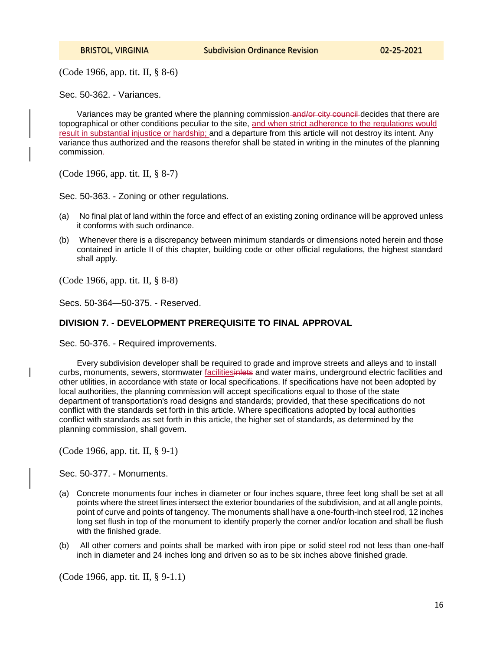(Code 1966, app. tit. II, § 8-6)

Sec. 50-362. - Variances.

Variances may be granted where the planning commission-and/or city council decides that there are topographical or other conditions peculiar to the site, and when strict adherence to the regulations would result in substantial injustice or hardship; and a departure from this article will not destroy its intent. Any variance thus authorized and the reasons therefor shall be stated in writing in the minutes of the planning commission.

(Code 1966, app. tit. II, § 8-7)

Sec. 50-363. - Zoning or other regulations.

- (a) No final plat of land within the force and effect of an existing zoning ordinance will be approved unless it conforms with such ordinance.
- (b) Whenever there is a discrepancy between minimum standards or dimensions noted herein and those contained in article II of this chapter, building code or other official regulations, the highest standard shall apply.

(Code 1966, app. tit. II, § 8-8)

Secs. 50-364—50-375. - Reserved.

## **DIVISION 7. - DEVELOPMENT PREREQUISITE TO FINAL APPROVAL**

Sec. 50-376. - Required improvements.

Every subdivision developer shall be required to grade and improve streets and alleys and to install curbs, monuments, sewers, stormwater facilitiesinlets and water mains, underground electric facilities and other utilities, in accordance with state or local specifications. If specifications have not been adopted by local authorities, the planning commission will accept specifications equal to those of the state department of transportation's road designs and standards; provided, that these specifications do not conflict with the standards set forth in this article. Where specifications adopted by local authorities conflict with standards as set forth in this article, the higher set of standards, as determined by the planning commission, shall govern.

(Code 1966, app. tit. II, § 9-1)

Sec. 50-377. - Monuments.

- (a) Concrete monuments four inches in diameter or four inches square, three feet long shall be set at all points where the street lines intersect the exterior boundaries of the subdivision, and at all angle points, point of curve and points of tangency. The monuments shall have a one-fourth-inch steel rod, 12 inches long set flush in top of the monument to identify properly the corner and/or location and shall be flush with the finished grade.
- (b) All other corners and points shall be marked with iron pipe or solid steel rod not less than one-half inch in diameter and 24 inches long and driven so as to be six inches above finished grade.

(Code 1966, app. tit. II, § 9-1.1)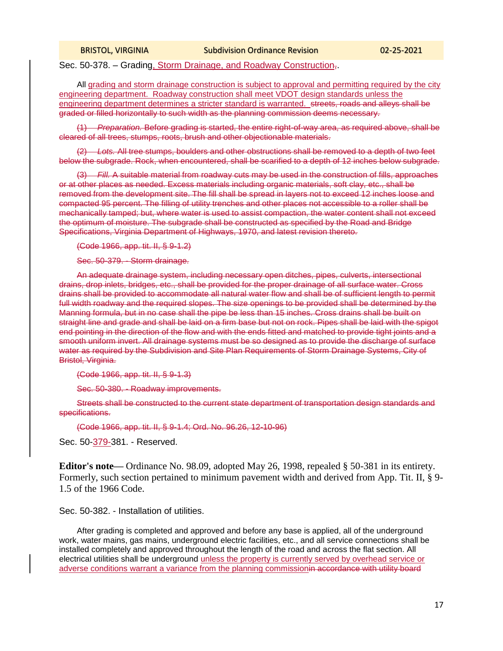# Sec. 50-378. – Grading, Storm Drainage, and Roadway Construction,.

All grading and storm drainage construction is subject to approval and permitting required by the city engineering department. Roadway construction shall meet VDOT design standards unless the engineering department determines a stricter standard is warranted. streets, roads and alleys shall be graded or filled horizontally to such width as the planning commission deems necessary.

(1) *Preparation.* Before grading is started, the entire right-of-way area, as required above, shall be cleared of all trees, stumps, roots, brush and other objectionable materials.

(2) *Lots.* All tree stumps, boulders and other obstructions shall be removed to a depth of two feet below the subgrade. Rock, when encountered, shall be scarified to a depth of 12 inches below subgrade.

(3) *Fill.* A suitable material from roadway cuts may be used in the construction of fills, approaches or at other places as needed. Excess materials including organic materials, soft clay, etc., shall be removed from the development site. The fill shall be spread in layers not to exceed 12 inches loose and compacted 95 percent. The filling of utility trenches and other places not accessible to a roller shall be mechanically tamped; but, where water is used to assist compaction, the water content shall not exceed the optimum of moisture. The subgrade shall be constructed as specified by the Road and Bridge Specifications, Virginia Department of Highways, 1970, and latest revision thereto.

(Code 1966, app. tit. II, § 9-1.2)

Sec. 50-379. - Storm drainage.

An adequate drainage system, including necessary open ditches, pipes, culverts, intersectional drains, drop inlets, bridges, etc., shall be provided for the proper drainage of all surface water. Cross drains shall be provided to accommodate all natural water flow and shall be of sufficient length to permit full width roadway and the required slopes. The size openings to be provided shall be determined by the Manning formula, but in no case shall the pipe be less than 15 inches. Cross drains shall be built on straight line and grade and shall be laid on a firm base but not on rock. Pipes shall be laid with the spigot end pointing in the direction of the flow and with the ends fitted and matched to provide tight joints and a smooth uniform invert. All drainage systems must be so designed as to provide the discharge of surface water as required by the Subdivision and Site Plan Requirements of Storm Drainage Systems, City of Bristol, Virginia.

(Code 1966, app. tit. II, § 9-1.3)

Sec. 50-380. - Roadway improvements.

Streets shall be constructed to the current state department of transportation design standards and specifications.

(Code 1966, app. tit. II, § 9-1.4; Ord. No. 96.26, 12-10-96)

Sec. 50-379-381. - Reserved.

**Editor's note—** Ordinance No. 98.09, adopted May 26, 1998, repealed § 50-381 in its entirety. Formerly, such section pertained to minimum pavement width and derived from App. Tit. II, § 9- 1.5 of the 1966 Code.

Sec. 50-382. - Installation of utilities.

After grading is completed and approved and before any base is applied, all of the underground work, water mains, gas mains, underground electric facilities, etc., and all service connections shall be installed completely and approved throughout the length of the road and across the flat section. All electrical utilities shall be underground unless the property is currently served by overhead service or adverse conditions warrant a variance from the planning commissionin accordance with utility board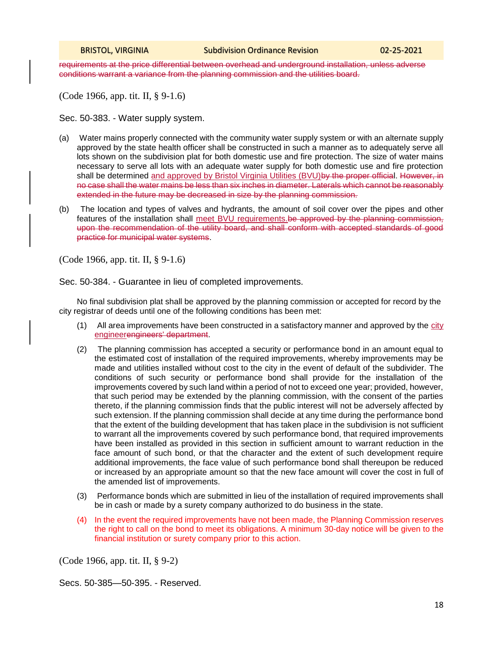requirements at the price differential between overhead and underground installation, unless adverse conditions warrant a variance from the planning commission and the utilities board.

(Code 1966, app. tit. II, § 9-1.6)

Sec. 50-383. - Water supply system.

- (a) Water mains properly connected with the community water supply system or with an alternate supply approved by the state health officer shall be constructed in such a manner as to adequately serve all lots shown on the subdivision plat for both domestic use and fire protection. The size of water mains necessary to serve all lots with an adequate water supply for both domestic use and fire protection shall be determined and approved by Bristol Virginia Utilities (BVU) by the proper official. However, in no case shall the water mains be less than six inches in diameter. Laterals which cannot be reasonably extended in the future may be decreased in size by the planning commission.
- (b) The location and types of valves and hydrants, the amount of soil cover over the pipes and other features of the installation shall meet BVU requirements.be approved by the planning commission, upon the recommendation of the utility board, and shall conform with accepted standards of good practice for municipal water systems.

(Code 1966, app. tit. II, § 9-1.6)

Sec. 50-384. - Guarantee in lieu of completed improvements.

No final subdivision plat shall be approved by the planning commission or accepted for record by the city registrar of deeds until one of the following conditions has been met:

- $(1)$  All area improvements have been constructed in a satisfactory manner and approved by the  $\frac{city}{}$ engineerengineers' department.
- (2) The planning commission has accepted a security or performance bond in an amount equal to the estimated cost of installation of the required improvements, whereby improvements may be made and utilities installed without cost to the city in the event of default of the subdivider. The conditions of such security or performance bond shall provide for the installation of the improvements covered by such land within a period of not to exceed one year; provided, however, that such period may be extended by the planning commission, with the consent of the parties thereto, if the planning commission finds that the public interest will not be adversely affected by such extension. If the planning commission shall decide at any time during the performance bond that the extent of the building development that has taken place in the subdivision is not sufficient to warrant all the improvements covered by such performance bond, that required improvements have been installed as provided in this section in sufficient amount to warrant reduction in the face amount of such bond, or that the character and the extent of such development require additional improvements, the face value of such performance bond shall thereupon be reduced or increased by an appropriate amount so that the new face amount will cover the cost in full of the amended list of improvements.
- (3) Performance bonds which are submitted in lieu of the installation of required improvements shall be in cash or made by a surety company authorized to do business in the state.
- (4) In the event the required improvements have not been made, the Planning Commission reserves the right to call on the bond to meet its obligations. A minimum 30-day notice will be given to the financial institution or surety company prior to this action.

(Code 1966, app. tit. II, § 9-2)

Secs. 50-385—50-395. - Reserved.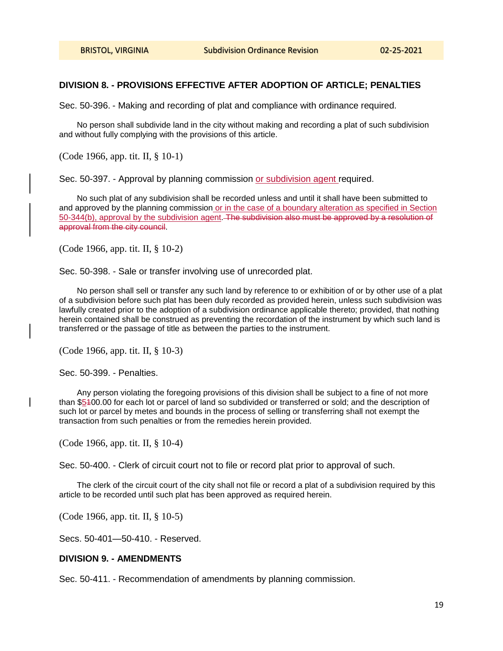## **DIVISION 8. - PROVISIONS EFFECTIVE AFTER ADOPTION OF ARTICLE; PENALTIES**

Sec. 50-396. - Making and recording of plat and compliance with ordinance required.

No person shall subdivide land in the city without making and recording a plat of such subdivision and without fully complying with the provisions of this article.

(Code 1966, app. tit. II, § 10-1)

Sec. 50-397. - Approval by planning commission or subdivision agent required.

No such plat of any subdivision shall be recorded unless and until it shall have been submitted to and approved by the planning commission or in the case of a boundary alteration as specified in Section 50-344(b), approval by the subdivision agent. The subdivision also must be approved by a resolution of approval from the city council.

(Code 1966, app. tit. II, § 10-2)

Sec. 50-398. - Sale or transfer involving use of unrecorded plat.

No person shall sell or transfer any such land by reference to or exhibition of or by other use of a plat of a subdivision before such plat has been duly recorded as provided herein, unless such subdivision was lawfully created prior to the adoption of a subdivision ordinance applicable thereto; provided, that nothing herein contained shall be construed as preventing the recordation of the instrument by which such land is transferred or the passage of title as between the parties to the instrument.

(Code 1966, app. tit. II, § 10-3)

Sec. 50-399. - Penalties.

Any person violating the foregoing provisions of this division shall be subject to a fine of not more than \$5100.00 for each lot or parcel of land so subdivided or transferred or sold; and the description of such lot or parcel by metes and bounds in the process of selling or transferring shall not exempt the transaction from such penalties or from the remedies herein provided.

(Code 1966, app. tit. II, § 10-4)

Sec. 50-400. - Clerk of circuit court not to file or record plat prior to approval of such.

The clerk of the circuit court of the city shall not file or record a plat of a subdivision required by this article to be recorded until such plat has been approved as required herein.

(Code 1966, app. tit. II, § 10-5)

Secs. 50-401—50-410. - Reserved.

## **DIVISION 9. - AMENDMENTS**

Sec. 50-411. - Recommendation of amendments by planning commission.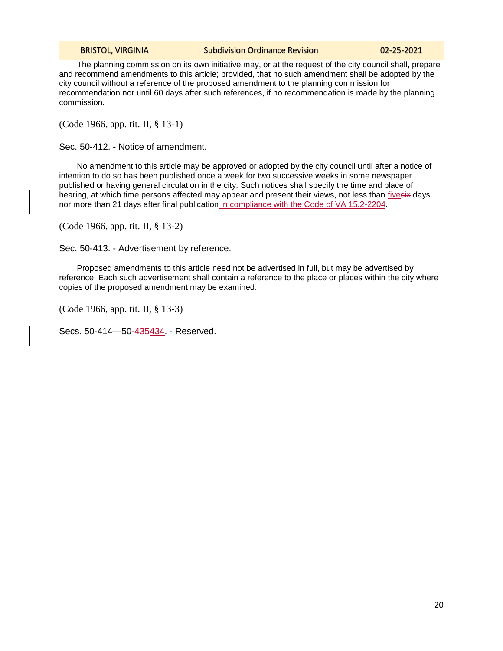### BRISTOL, VIRGINIA Subdivision Ordinance Revision 01 102-25-2021

The planning commission on its own initiative may, or at the request of the city council shall, prepare and recommend amendments to this article; provided, that no such amendment shall be adopted by the city council without a reference of the proposed amendment to the planning commission for recommendation nor until 60 days after such references, if no recommendation is made by the planning commission.

(Code 1966, app. tit. II, § 13-1)

Sec. 50-412. - Notice of amendment.

No amendment to this article may be approved or adopted by the city council until after a notice of intention to do so has been published once a week for two successive weeks in some newspaper published or having general circulation in the city. Such notices shall specify the time and place of hearing, at which time persons affected may appear and present their views, not less than fivesix days nor more than 21 days after final publication in compliance with the Code of VA 15.2-2204.

(Code 1966, app. tit. II, § 13-2)

Sec. 50-413. - Advertisement by reference.

Proposed amendments to this article need not be advertised in full, but may be advertised by reference. Each such advertisement shall contain a reference to the place or places within the city where copies of the proposed amendment may be examined.

(Code 1966, app. tit. II, § 13-3)

Secs. 50-414—50-435434. - Reserved.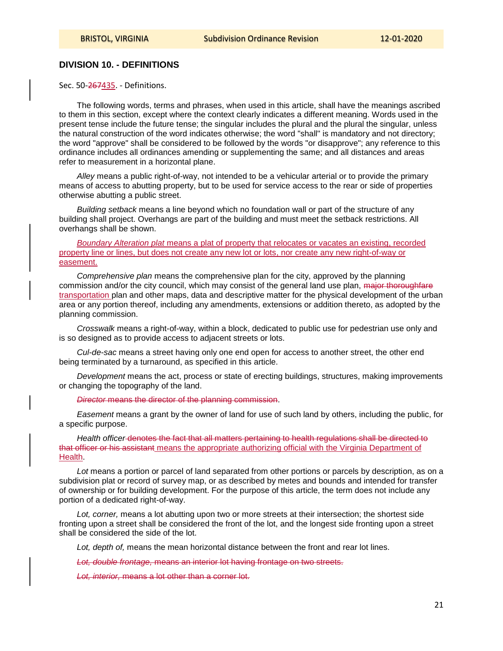# **DIVISION 10. - DEFINITIONS**

Sec. 50-267435. - Definitions.

The following words, terms and phrases, when used in this article, shall have the meanings ascribed to them in this section, except where the context clearly indicates a different meaning. Words used in the present tense include the future tense; the singular includes the plural and the plural the singular, unless the natural construction of the word indicates otherwise; the word "shall" is mandatory and not directory; the word "approve" shall be considered to be followed by the words "or disapprove"; any reference to this ordinance includes all ordinances amending or supplementing the same; and all distances and areas refer to measurement in a horizontal plane.

*Alley* means a public right-of-way, not intended to be a vehicular arterial or to provide the primary means of access to abutting property, but to be used for service access to the rear or side of properties otherwise abutting a public street.

*Building setback* means a line beyond which no foundation wall or part of the structure of any building shall project. Overhangs are part of the building and must meet the setback restrictions. All overhangs shall be shown.

*Boundary Alteration plat* means a plat of property that relocates or vacates an existing, recorded property line or lines, but does not create any new lot or lots, nor create any new right-of-way or easement.

*Comprehensive plan* means the comprehensive plan for the city, approved by the planning commission and/or the city council, which may consist of the general land use plan, major thoroughfare transportation plan and other maps, data and descriptive matter for the physical development of the urban area or any portion thereof, including any amendments, extensions or addition thereto, as adopted by the planning commission.

*Crosswalk* means a right-of-way, within a block, dedicated to public use for pedestrian use only and is so designed as to provide access to adjacent streets or lots.

*Cul-de-sac* means a street having only one end open for access to another street, the other end being terminated by a turnaround, as specified in this article.

*Development* means the act, process or state of erecting buildings, structures, making improvements or changing the topography of the land.

*Director* means the director of the planning commission.

*Easement* means a grant by the owner of land for use of such land by others, including the public, for a specific purpose.

*Health officer* denotes the fact that all matters pertaining to health regulations shall be directed to that officer or his assistant means the appropriate authorizing official with the Virginia Department of Health.

*Lot* means a portion or parcel of land separated from other portions or parcels by description, as on a subdivision plat or record of survey map, or as described by metes and bounds and intended for transfer of ownership or for building development. For the purpose of this article, the term does not include any portion of a dedicated right-of-way.

*Lot, corner,* means a lot abutting upon two or more streets at their intersection; the shortest side fronting upon a street shall be considered the front of the lot, and the longest side fronting upon a street shall be considered the side of the lot.

*Lot, depth of,* means the mean horizontal distance between the front and rear lot lines.

*Lot, double frontage,* means an interior lot having frontage on two streets.

*Lot, interior,* means a lot other than a corner lot.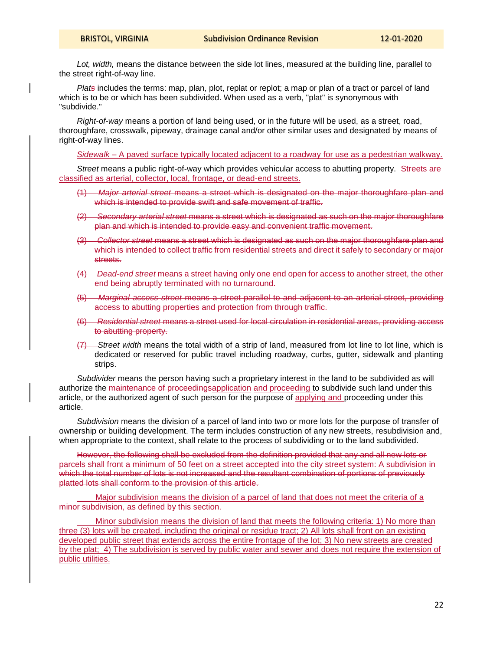*Lot, width,* means the distance between the side lot lines, measured at the building line, parallel to the street right-of-way line.

*Plats* includes the terms: map, plan, plot, replat or replot; a map or plan of a tract or parcel of land which is to be or which has been subdivided. When used as a verb, "plat" is synonymous with "subdivide."

*Right-of-way* means a portion of land being used, or in the future will be used, as a street, road, thoroughfare, crosswalk, pipeway, drainage canal and/or other similar uses and designated by means of right-of-way lines.

*Sidewalk –* A paved surface typically located adjacent to a roadway for use as a pedestrian walkway.

*Street* means a public right-of-way which provides vehicular access to abutting property. Streets are classified as arterial, collector, local, frontage, or dead-end streets.

- (1) *Major arterial street* means a street which is designated on the major thoroughfare plan and which is intended to provide swift and safe movement of traffic.
- (2) *Secondary arterial street* means a street which is designated as such on the major thoroughfare plan and which is intended to provide easy and convenient traffic movement.
- (3) *Collector street* means a street which is designated as such on the major thoroughfare plan and which is intended to collect traffic from residential streets and direct it safely to secondary or major streets.
- (4) *Dead-end street* means a street having only one end open for access to another street, the other end being abruptly terminated with no turnaround.
- (5) *Marginal access street* means a street parallel to and adjacent to an arterial street, providing access to abutting properties and protection from through traffic.
- (6) *Residential street* means a street used for local circulation in residential areas, providing access to abutting property.
- (7) *Street width* means the total width of a strip of land, measured from lot line to lot line, which is dedicated or reserved for public travel including roadway, curbs, gutter, sidewalk and planting strips.

*Subdivider* means the person having such a proprietary interest in the land to be subdivided as will authorize the maintenance of proceedingsapplication and proceeding to subdivide such land under this article, or the authorized agent of such person for the purpose of applying and proceeding under this article.

*Subdivision* means the division of a parcel of land into two or more lots for the purpose of transfer of ownership or building development. The term includes construction of any new streets, resubdivision and, when appropriate to the context, shall relate to the process of subdividing or to the land subdivided.

However, the following shall be excluded from the definition provided that any and all new lots or parcels shall front a minimum of 50 feet on a street accepted into the city street system: A subdivision in which the total number of lots is not increased and the resultant combination of portions of previously platted lots shall conform to the provision of this article.

 Major subdivision means the division of a parcel of land that does not meet the criteria of a minor subdivision, as defined by this section.

 Minor subdivision means the division of land that meets the following criteria: 1) No more than three (3) lots will be created, including the original or residue tract; 2) All lots shall front on an existing developed public street that extends across the entire frontage of the lot; 3) No new streets are created by the plat; 4) The subdivision is served by public water and sewer and does not require the extension of public utilities.